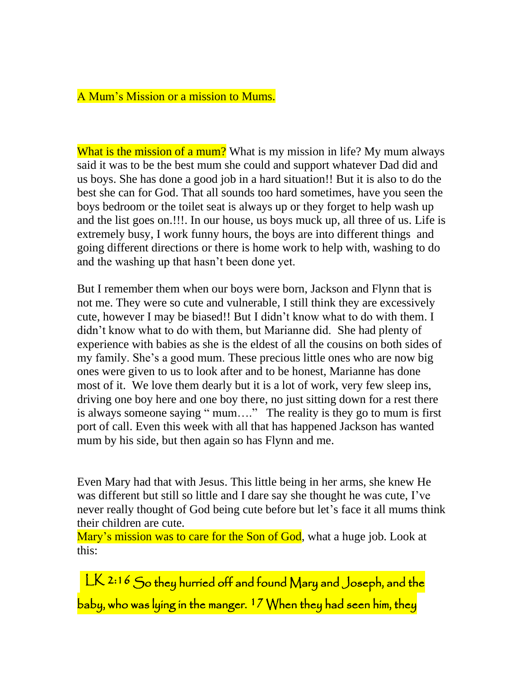## A Mum's Mission or a mission to Mums.

What is the mission of a mum? What is my mission in life? My mum always said it was to be the best mum she could and support whatever Dad did and us boys. She has done a good job in a hard situation!! But it is also to do the best she can for God. That all sounds too hard sometimes, have you seen the boys bedroom or the toilet seat is always up or they forget to help wash up and the list goes on.!!!. In our house, us boys muck up, all three of us. Life is extremely busy, I work funny hours, the boys are into different things and going different directions or there is home work to help with, washing to do and the washing up that hasn't been done yet.

But I remember them when our boys were born, Jackson and Flynn that is not me. They were so cute and vulnerable, I still think they are excessively cute, however I may be biased!! But I didn't know what to do with them. I didn't know what to do with them, but Marianne did. She had plenty of experience with babies as she is the eldest of all the cousins on both sides of my family. She's a good mum. These precious little ones who are now big ones were given to us to look after and to be honest, Marianne has done most of it. We love them dearly but it is a lot of work, very few sleep ins, driving one boy here and one boy there, no just sitting down for a rest there is always someone saying " mum…." The reality is they go to mum is first port of call. Even this week with all that has happened Jackson has wanted mum by his side, but then again so has Flynn and me.

Even Mary had that with Jesus. This little being in her arms, she knew He was different but still so little and I dare say she thought he was cute, I've never really thought of God being cute before but let's face it all mums think their children are cute.

Mary's mission was to care for the Son of God, what a huge job. Look at this:

LK 2:16 So they hurried off and found Mary and Joseph, and the baby, who was lying in the manger.  $17$  When they had seen him, they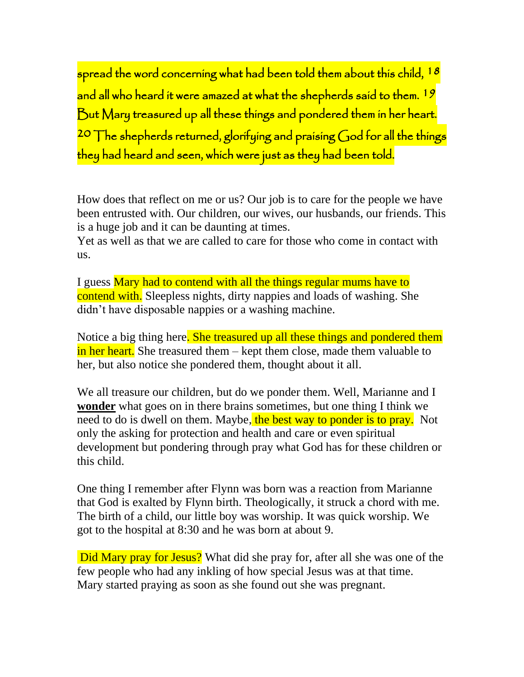spread the word concerning what had been told them about this child, 18 and all who heard it were amazed at what the shepherds said to them. <sup>19</sup> But Mary treasured up all these things and pondered them in her heart. 20 The shepherds returned, glorifying and praising God for all the things they had heard and seen, which were just as they had been told.

How does that reflect on me or us? Our job is to care for the people we have been entrusted with. Our children, our wives, our husbands, our friends. This is a huge job and it can be daunting at times.

Yet as well as that we are called to care for those who come in contact with us.

I guess Mary had to contend with all the things regular mums have to contend with. Sleepless nights, dirty nappies and loads of washing. She didn't have disposable nappies or a washing machine.

Notice a big thing here. She treasured up all these things and pondered them in her heart. She treasured them – kept them close, made them valuable to her, but also notice she pondered them, thought about it all.

We all treasure our children, but do we ponder them. Well, Marianne and I **wonder** what goes on in there brains sometimes, but one thing I think we need to do is dwell on them. Maybe, the best way to ponder is to pray. Not only the asking for protection and health and care or even spiritual development but pondering through pray what God has for these children or this child.

One thing I remember after Flynn was born was a reaction from Marianne that God is exalted by Flynn birth. Theologically, it struck a chord with me. The birth of a child, our little boy was worship. It was quick worship. We got to the hospital at 8:30 and he was born at about 9.

Did Mary pray for Jesus? What did she pray for, after all she was one of the few people who had any inkling of how special Jesus was at that time. Mary started praying as soon as she found out she was pregnant.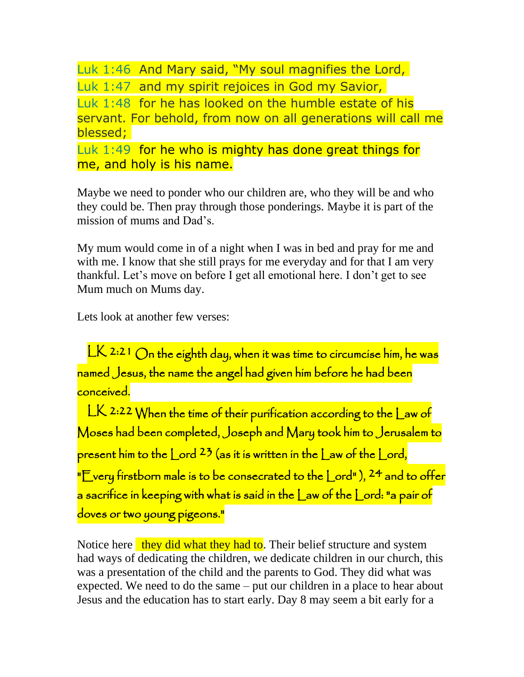Luk 1:46 And Mary said, "My soul magnifies the Lord, Luk 1:47 and my spirit rejoices in God my Savior, Luk 1:48 for he has looked on the humble estate of his servant. For behold, from now on all generations will call me blessed; Luk 1:49 for he who is mighty has done great things for me, and holy is his name.

Maybe we need to ponder who our children are, who they will be and who they could be. Then pray through those ponderings. Maybe it is part of the mission of mums and Dad's.

My mum would come in of a night when I was in bed and pray for me and with me. I know that she still prays for me everyday and for that I am very thankful. Let's move on before I get all emotional here. I don't get to see Mum much on Mums day.

Lets look at another few verses:

LK 2:21 On the eighth day, when it was time to circumcise him, he was named Jesus, the name the angel had given him before he had been conceived.

LK 2:22 When the time of their purification according to the Law of Moses had been completed, Joseph and Mary took him to Jerusalem to present him to the  $\lfloor$  ord  $^{23}$  (as it is written in the  $\lfloor$  aw of the  $\lfloor$  ord, "E very firstborn male is to be consecrated to the Lord"),  $24$  and to offer a sacrifice in keeping with what is said in the  $\mathsf{\_}$ aw of the  $\mathsf{\_}$ ord: "a pair of doves or two young pigeons."

Notice here they did what they had to. Their belief structure and system had ways of dedicating the children, we dedicate children in our church, this was a presentation of the child and the parents to God. They did what was expected. We need to do the same – put our children in a place to hear about Jesus and the education has to start early. Day 8 may seem a bit early for a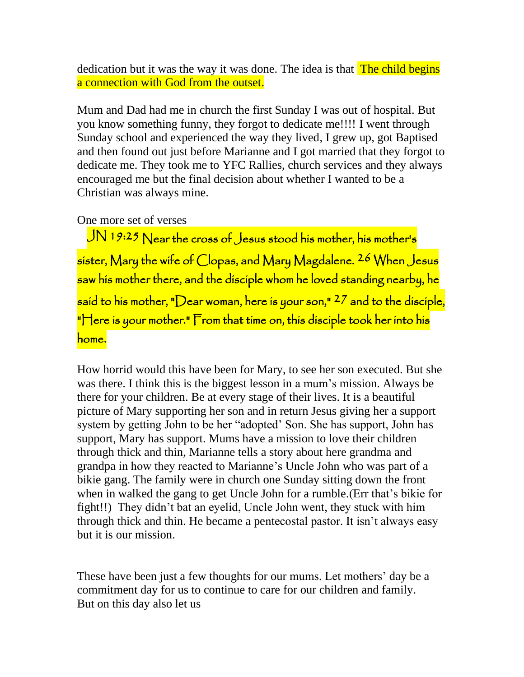dedication but it was the way it was done. The idea is that **The child begins** a connection with God from the outset.

Mum and Dad had me in church the first Sunday I was out of hospital. But you know something funny, they forgot to dedicate me!!!! I went through Sunday school and experienced the way they lived, I grew up, got Baptised and then found out just before Marianne and I got married that they forgot to dedicate me. They took me to YFC Rallies, church services and they always encouraged me but the final decision about whether I wanted to be a Christian was always mine.

One more set of verses

JN 19:25 Near the cross of Jesus stood his mother, his mother's sister, Mary the wife of Clopas, and Mary Magdalene. <sup>26</sup> When Jesus saw his mother there, and the disciple whom he loved standing nearby, he said to his mother, "Dear woman, here is your son,"  $27$  and to the disciple,  $"$ Here is your mother." From that time on, this disciple took her into his home.

How horrid would this have been for Mary, to see her son executed. But she was there. I think this is the biggest lesson in a mum's mission. Always be there for your children. Be at every stage of their lives. It is a beautiful picture of Mary supporting her son and in return Jesus giving her a support system by getting John to be her "adopted' Son. She has support, John has support, Mary has support. Mums have a mission to love their children through thick and thin, Marianne tells a story about here grandma and grandpa in how they reacted to Marianne's Uncle John who was part of a bikie gang. The family were in church one Sunday sitting down the front when in walked the gang to get Uncle John for a rumble.(Err that's bikie for fight!!) They didn't bat an eyelid, Uncle John went, they stuck with him through thick and thin. He became a pentecostal pastor. It isn't always easy but it is our mission.

These have been just a few thoughts for our mums. Let mothers' day be a commitment day for us to continue to care for our children and family. But on this day also let us